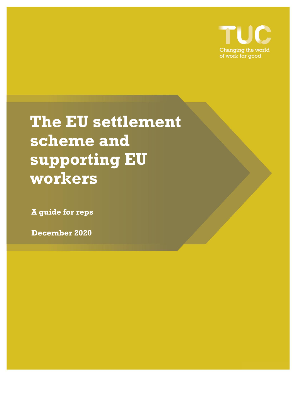

**The EU settlement scheme and supporting EU workers**

**A guide for reps**

**December 2020**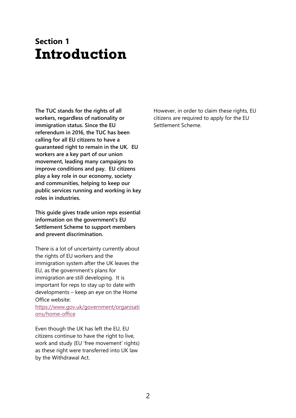### **Section 1 Introduction**

**The TUC stands for the rights of all workers, regardless of nationality or immigration status. Since the EU referendum in 2016, the TUC has been calling for all EU citizens to have a guaranteed right to remain in the UK. EU workers are a key part of our union movement, leading many campaigns to improve conditions and pay. EU citizens play a key role in our economy, society and communities, helping to keep our public services running and working in key roles in industries.**

**This guide gives trade union reps essential information on the government's EU Settlement Scheme to support members and prevent discrimination.** 

There is a lot of uncertainty currently about the rights of EU workers and the immigration system after the UK leaves the EU, as the government's plans for immigration are still developing. It is important for reps to stay up to date with developments – keep an eye on the Home Office website:

[https://www.gov.uk/government/organisati](https://www.gov.uk/government/organisations/home-office) [ons/home-office](https://www.gov.uk/government/organisations/home-office)

Even though the UK has left the EU, EU citizens continue to have the right to live, work and study (EU 'free movement' rights) as these right were transferred into UK law by the Withdrawal Act.

However, in order to claim these rights, EU citizens are required to apply for the EU Settlement Scheme.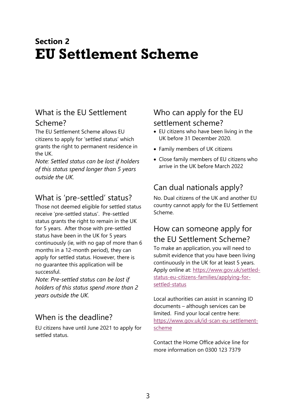# **Section 2 EU Settlement Scheme**

#### What is the EU Settlement Scheme?

The EU Settlement Scheme allows EU citizens to apply for 'settled status' which grants the right to permanent residence in the UK.

*Note: Settled status can be lost if holders of this status spend longer than 5 years outside the UK.*

#### What is 'pre-settled' status?

Those not deemed eligible for settled status receive 'pre-settled status'. Pre-settled status grants the right to remain in the UK for 5 years. After those with pre-settled status have been in the UK for 5 years continuously (ie, with no gap of more than 6 months in a 12-month period), they can apply for settled status. However, there is no guarantee this application will be successful.

*Note: Pre-settled status can be lost if holders of this status spend more than 2 years outside the UK.*

#### When is the deadline?

EU citizens have until June 2021 to apply for settled status.

#### Who can apply for the EU settlement scheme?

- EU citizens who have been living in the UK before 31 December 2020.
- Family members of UK citizens
- Close family members of EU citizens who arrive in the UK before March 2022

### Can dual nationals apply?

No. Dual citizens of the UK and another EU country cannot apply for the EU Settlement Scheme.

#### How can someone apply for the EU Settlement Scheme?

To make an application, you will need to submit evidence that you have been living continuously in the UK for at least 5 years. Apply online at: [https://www.gov.uk/settled](https://www.gov.uk/settled-status-eu-citizens-families/applying-for-settled-status)[status-eu-citizens-families/applying-for](https://www.gov.uk/settled-status-eu-citizens-families/applying-for-settled-status)[settled-status](https://www.gov.uk/settled-status-eu-citizens-families/applying-for-settled-status)

Local authorities can assist in scanning ID documents – although services can be limited. Find your local centre here: [https://www.gov.uk/id-scan-eu-settlement](https://www.gov.uk/id-scan-eu-settlement-scheme)[scheme](https://www.gov.uk/id-scan-eu-settlement-scheme)

Contact the Home Office advice line for more information on 0300 123 7379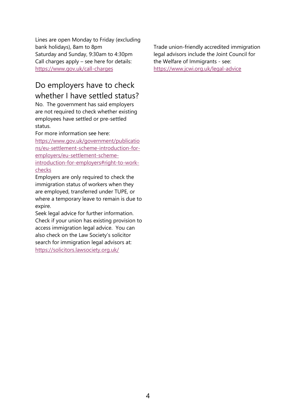Lines are open Monday to Friday (excluding bank holidays), 8am to 8pm Saturday and Sunday, 9:30am to 4:30pm Call charges apply – see here for details: <https://www.gov.uk/call-charges>

#### Do employers have to check whether I have settled status?

No. The government has said employers are not required to check whether existing employees have settled or pre-settled status.

For more information see here:

[https://www.gov.uk/government/publicatio](https://www.gov.uk/government/publications/eu-settlement-scheme-introduction-for-employers/eu-settlement-scheme-introduction-for-employers#right-to-work-checks) [ns/eu-settlement-scheme-introduction-for](https://www.gov.uk/government/publications/eu-settlement-scheme-introduction-for-employers/eu-settlement-scheme-introduction-for-employers#right-to-work-checks)[employers/eu-settlement-scheme](https://www.gov.uk/government/publications/eu-settlement-scheme-introduction-for-employers/eu-settlement-scheme-introduction-for-employers#right-to-work-checks)[introduction-for-employers#right-to-work](https://www.gov.uk/government/publications/eu-settlement-scheme-introduction-for-employers/eu-settlement-scheme-introduction-for-employers#right-to-work-checks)[checks](https://www.gov.uk/government/publications/eu-settlement-scheme-introduction-for-employers/eu-settlement-scheme-introduction-for-employers#right-to-work-checks)

Employers are only required to check the immigration status of workers when they are employed, transferred under TUPE, or where a temporary leave to remain is due to expire.

Seek legal advice for further information. Check if your union has existing provision to access immigration legal advice. You can also check on the Law Society's solicitor search for immigration legal advisors at: <https://solicitors.lawsociety.org.uk/>

Trade union-friendly accredited immigration legal advisors include the Joint Council for the Welfare of Immigrants - see: <https://www.jcwi.org.uk/legal-advice>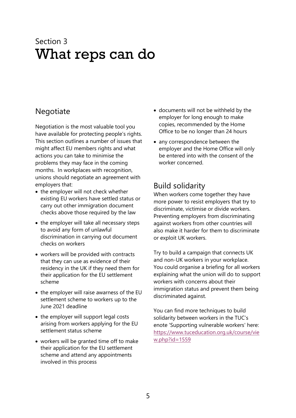## Section 3 What reps can do

#### **Negotiate**

Negotiation is the most valuable tool you have available for protecting people's rights. This section outlines a number of issues that might affect EU members rights and what actions you can take to minimise the problems they may face in the coming months. In workplaces with recognition, unions should negotiate an agreement with employers that:

- the employer will not check whether existing EU workers have settled status or carry out other immigration document checks above those required by the law
- the employer will take all necessary steps to avoid any form of unlawful discrimination in carrying out document checks on workers
- workers will be provided with contracts that they can use as evidence of their residency in the UK if they need them for their application for the EU settlement scheme
- the employer will raise awarness of the EU settlement scheme to workers up to the June 2021 deadline
- the employer will support legal costs arising from workers applying for the EU settlement status scheme
- workers will be granted time off to make their application for the EU settlement scheme and attend any appointments involved in this process
- documents will not be withheld by the employer for long enough to make copies, recommended by the Home Office to be no longer than 24 hours
- any correspondence between the employer and the Home Office will only be entered into with the consent of the worker concerned.

#### Build solidarity

When workers come together they have more power to resist employers that try to discriminate, victimise or divide workers. Preventing employers from discriminating against workers from other countries will also make it harder for them to discriminate or exploit UK workers.

Try to build a campaign that connects UK and non-UK workers in your workplace. You could organise a briefing for all workers explaining what the union will do to support workers with concerns about their immigration status and prevent them being discriminated against.

You can find more techniques to build solidarity between workers in the TUC's enote 'Supporting vulnerable workers' here: [https://www.tuceducation.org.uk/course/vie](https://www.tuceducation.org.uk/course/view.php?id=1559) [w.php?id=1559](https://www.tuceducation.org.uk/course/view.php?id=1559)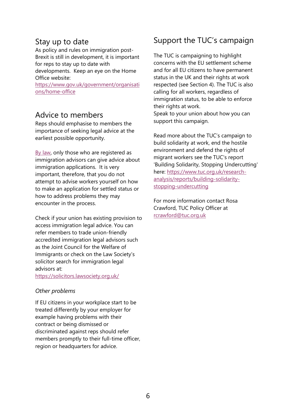#### Stay up to date

As policy and rules on immigration post-Brexit is still in development, it is important for reps to stay up to date with developments.Keep an eye on the Home Office website:

[https://www.gov.uk/government/organisati](https://www.gov.uk/government/organisations/home-office) [ons/home-office](https://www.gov.uk/government/organisations/home-office)

#### Advice to members

Reps should emphasise to members the importance of seeking legal advice at the earliest possible opportunity.

[By law,](https://www.gov.uk/government/publications/how-to-become-a-regulated-immigration-adviser/how-to-become-a-regulated-immigration-adviser) only those who are registered as immigration advisors can give advice about immigration applications. It is very important, therefore, that you do not attempt to advise workers yourself on how to make an application for settled status or how to address problems they may encounter in the process.

Check if your union has existing provision to access immigration legal advice. You can refer members to trade union-friendly accredited immigration legal advisors such as the Joint Council for the Welfare of Immigrants or check on the Law Society's solicitor search for immigration legal advisors at:

<https://solicitors.lawsociety.org.uk/>

#### *Other problems*

If EU citizens in your workplace start to be treated differently by your employer for example having problems with their contract or being dismissed or discriminated against reps should refer members promptly to their full-time officer, region or headquarters for advice.

#### Support the TUC's campaign

The TUC is campaigning to highlight concerns with the EU settlement scheme and for all EU citizens to have permanent status in the UK and their rights at work respected (see Section 4). The TUC is also calling for all workers, regardless of immigration status, to be able to enforce their rights at work. Speak to your union about how you can

support this campaign.

Read more about the TUC's campaign to build solidarity at work, end the hostile environment and defend the rights of migrant workers see the TUC's report 'Building Solidarity, Stopping Undercutting' here: [https://www.tuc.org.uk/research](https://www.tuc.org.uk/research-analysis/reports/building-solidarity-stopping-undercutting)[analysis/reports/building-solidarity](https://www.tuc.org.uk/research-analysis/reports/building-solidarity-stopping-undercutting)[stopping-undercutting](https://www.tuc.org.uk/research-analysis/reports/building-solidarity-stopping-undercutting)

For more information contact Rosa Crawford, TUC Policy Officer at [rcrawford@tuc.org.uk](mailto:rcrawford@tuc.org.uk)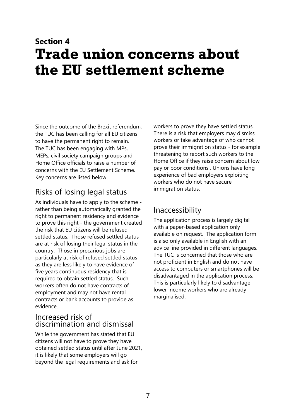# **Section 4 Trade union concerns about the EU settlement scheme**

Since the outcome of the Brexit referendum, the TUC has been calling for all EU citizens to have the permanent right to remain. The TUC has been engaging with MPs, MEPs, civil society campaign groups and Home Office officials to raise a number of concerns with the EU Settlement Scheme. Key concerns are listed below.

### Risks of losing legal status

As individuals have to apply to the scheme rather than being automatically granted the right to permanent residency and evidence to prove this right - the government created the risk that EU citizens will be refused settled status. Those refused settled status are at risk of losing their legal status in the country. Those in precarious jobs are particularly at risk of refused settled status as they are less likely to have evidence of five years continuous residency that is required to obtain settled status. Such workers often do not have contracts of employment and may not have rental contracts or bank accounts to provide as evidence.

#### Increased risk of discrimination and dismissal

While the government has stated that EU citizens will not have to prove they have obtained settled status until after June 2021, it is likely that some employers will go beyond the legal requirements and ask for

workers to prove they have settled status. There is a risk that employers may dismiss workers or take advantage of who cannot prove their immigration status - for example threatening to report such workers to the Home Office if they raise concern about low pay or poor conditions . Unions have long experience of bad employers exploiting workers who do not have secure immigration status.

#### Inaccessibility

The application process is largely digital with a paper-based application only available on request. The application form is also only available in English with an advice line provided in different languages. The TUC is concerned that those who are not proficient in English and do not have access to computers or smartphones will be disadvantaged in the application process. This is particularly likely to disadvantage lower income workers who are already marginalised.